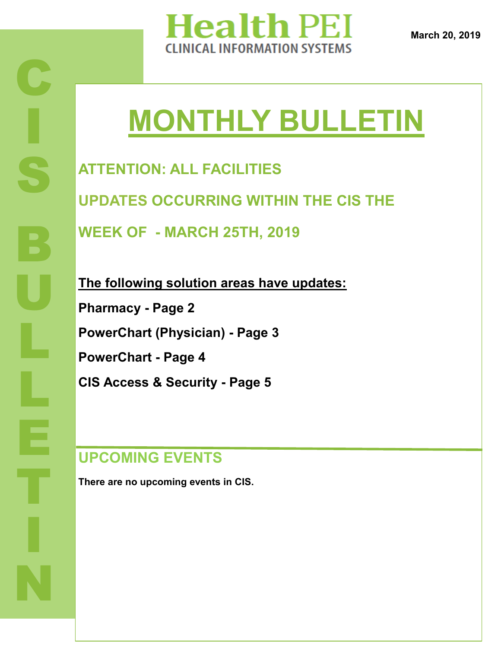

# **MONTHLY BULLETIN**

**ATTENTION: ALL FACILITIES UPDATES OCCURRING WITHIN THE CIS THE** 

**WEEK OF - MARCH 25TH, 2019**

**The following solution areas have updates: Pharmacy - Page 2 PowerChart (Physician) - Page 3 PowerChart - Page 4 CIS Access & Security - Page 5**

## **UPCOMING EVENTS**

**There are no upcoming events in CIS.**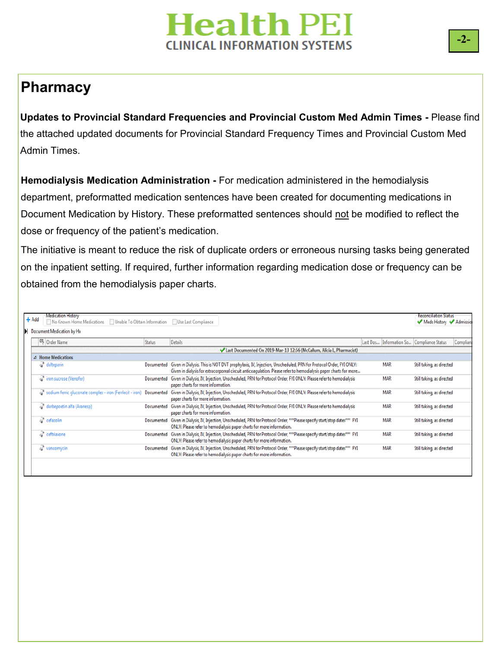#### **Pharmacy**

**Updates to Provincial Standard Frequencies and Provincial Custom Med Admin Times -** Please find the attached updated documents for Provincial Standard Frequency Times and Provincial Custom Med Admin Times.

**Hemodialysis Medication Administration -** For medication administered in the hemodialysis department, preformatted medication sentences have been created for documenting medications in Document Medication by History. These preformatted sentences should not be modified to reflect the dose or frequency of the patient's medication.

The initiative is meant to reduce the risk of duplicate orders or erroneous nursing tasks being generated on the inpatient setting. If required, further information regarding medication dose or frequency can be obtained from the hemodialysis paper charts.

|                           | $+$ Add            | Medication History<br>No Known Home Medications   Unable To Obtain Information   Use Last Compliance |               |                                                                                                                                                                                                                                   |  |            | <b>Reconciliation Status</b><br>Meds History Admissio |          |  |  |  |  |  |
|---------------------------|--------------------|------------------------------------------------------------------------------------------------------|---------------|-----------------------------------------------------------------------------------------------------------------------------------------------------------------------------------------------------------------------------------|--|------------|-------------------------------------------------------|----------|--|--|--|--|--|
| Document Medication by Hx |                    |                                                                                                      |               |                                                                                                                                                                                                                                   |  |            |                                                       |          |  |  |  |  |  |
|                           |                    | <b>B</b> Order Name                                                                                  | <b>Status</b> | <b>Details</b>                                                                                                                                                                                                                    |  |            | Last Dos   Information So   Compliance Status         | Complian |  |  |  |  |  |
|                           |                    | Last Documented On 2019-Mar-13 12:56 (McCallum, Alicia L, Pharmacist)                                |               |                                                                                                                                                                                                                                   |  |            |                                                       |          |  |  |  |  |  |
|                           | △ Home Medications |                                                                                                      |               |                                                                                                                                                                                                                                   |  |            |                                                       |          |  |  |  |  |  |
|                           |                    | dalteparin                                                                                           | Documented    | Given in Dialysis. This is NOT DVT prophylaxis, IV, Injection, Unscheduled, PRN for Protocol Order, FYI ONLY:<br>Given in dialysis for extracorporeal circuit anticoagulation. Please refer to hemodialysis paper charts for more |  | <b>MAR</b> | Still taking, as directed                             |          |  |  |  |  |  |
|                           |                    | of iron sucrose (Venofer)                                                                            | Documented    | Given in Dialysis, IV, Injection, Unscheduled, PRN for Protocol Order, FYI ONLY: Please refer to hemodialysis<br>paper charts for more information.                                                                               |  | <b>MAR</b> | Still taking, as directed                             |          |  |  |  |  |  |
|                           |                    | sodium ferric gluconate complex - iron (Ferrlecit - iron)                                            | Documented    | Given in Dialysis, IV, Injection, Unscheduled, PRN for Protocol Order, FYI ONLY: Please refer to hemodialysis<br>paper charts for more information.                                                                               |  | <b>MAR</b> | Still taking, as directed                             |          |  |  |  |  |  |
|                           | ď                  | darbepoetin alfa (Aranesp)                                                                           | Documented    | Given in Dialysis, IV, Injection, Unscheduled, PRN for Protocol Order, FYI ONLY: Please refer to hemodialysis<br>paper charts for more information.                                                                               |  | <b>MAR</b> | Still taking, as directed                             |          |  |  |  |  |  |
|                           |                    | $\mathbb{S}^n$ cefazolin                                                                             | Documented    | Given in Dialysis, IV, Injection, Unscheduled, PRN for Protocol Order, ***Please specify start/stop dates*** FYI<br>ONLY: Please refer to hemodialysis paper charts for more information.                                         |  | <b>MAR</b> | Still taking, as directed                             |          |  |  |  |  |  |
|                           |                    | <sup>8</sup> ceftriaxone                                                                             | Documented    | Given in Dialysis, IV, Injection, Unscheduled, PRN for Protocol Order, ***Please specify start/stop dates*** FYI<br>ONLY: Please refer to hemodialysis paper charts for more information.                                         |  | <b>MAR</b> | Still taking, as directed                             |          |  |  |  |  |  |
|                           |                    | wancomycin                                                                                           | Documented    | Given in Dialysis, IV, Injection, Unscheduled, PRN for Protocol Order, ***Please specify start/stop dates*** FYI<br>ONLY: Please refer to hemodialysis paper charts for more information.                                         |  | <b>MAR</b> | Still taking, as directed                             |          |  |  |  |  |  |
|                           |                    |                                                                                                      |               |                                                                                                                                                                                                                                   |  |            |                                                       |          |  |  |  |  |  |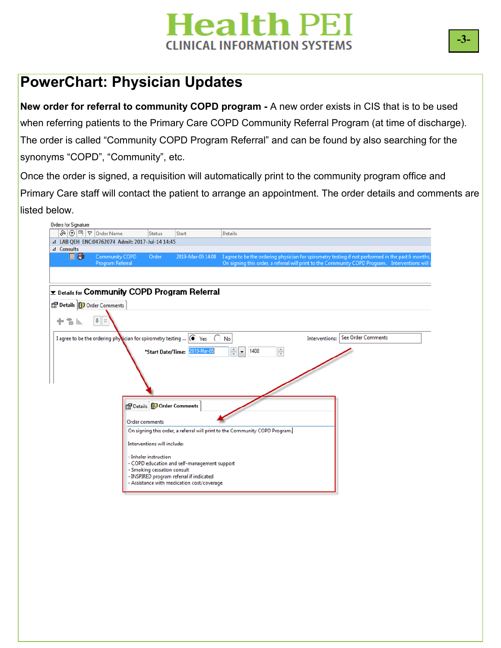#### **PowerChart: Physician Updates**

**New order for referral to community COPD program -** A new order exists in CIS that is to be used when referring patients to the Primary Care COPD Community Referral Program (at time of discharge). The order is called "Community COPD Program Referral" and can be found by also searching for the synonyms "COPD", "Community", etc.

Once the order is signed, a requisition will automatically print to the community program office and Primary Care staff will contact the patient to arrange an appointment. The order details and comments are listed below.

|                                 | ふ⊙吗 ♡ Order Name                                                                                            | <b>Status</b>                   | Start                                                                                  | <b>Details</b>                                                                                     |  |
|---------------------------------|-------------------------------------------------------------------------------------------------------------|---------------------------------|----------------------------------------------------------------------------------------|----------------------------------------------------------------------------------------------------|--|
|                                 | △ LAB QEH ENC:04762074 Admit: 2017-Jul-14 14:45                                                             |                                 |                                                                                        |                                                                                                    |  |
| △ Consults                      |                                                                                                             |                                 |                                                                                        |                                                                                                    |  |
| 口品                              | <b>Community COPD</b>                                                                                       | Order                           | 2019-Mar-05 14:08                                                                      | I agree to be the ordering physician for spirometry testing if not performed in the past 6 months, |  |
|                                 | <b>Program Referral</b>                                                                                     |                                 |                                                                                        | On signing this order, a referral will print to the Community COPD Program. Interventions will i   |  |
|                                 |                                                                                                             |                                 |                                                                                        |                                                                                                    |  |
|                                 |                                                                                                             |                                 |                                                                                        |                                                                                                    |  |
|                                 | <b>Exable 13 For Community COPD Program Referral</b>                                                        |                                 |                                                                                        |                                                                                                    |  |
|                                 |                                                                                                             |                                 |                                                                                        |                                                                                                    |  |
| Details <b>D</b> Order Comments |                                                                                                             |                                 |                                                                                        |                                                                                                    |  |
|                                 | $  $ $\times$                                                                                               |                                 |                                                                                        |                                                                                                    |  |
| Tallis                          |                                                                                                             |                                 |                                                                                        |                                                                                                    |  |
|                                 |                                                                                                             |                                 |                                                                                        |                                                                                                    |  |
|                                 | I agree to be the ordering physician for spirometry testing $  \textcircled{\textcircled{\textcirc}}  $ Yes |                                 | $\bigcirc$                                                                             | Interventions:   See Order Comments<br>No                                                          |  |
|                                 |                                                                                                             |                                 | *Start Date/Time: 2019-Mar-05                                                          | $\frac{1}{\sqrt{2}}$<br>$\frac{1}{x}$<br>1408<br>$\overline{\phantom{a}}$                          |  |
|                                 |                                                                                                             |                                 |                                                                                        |                                                                                                    |  |
|                                 |                                                                                                             |                                 |                                                                                        |                                                                                                    |  |
|                                 |                                                                                                             |                                 |                                                                                        |                                                                                                    |  |
|                                 |                                                                                                             |                                 |                                                                                        |                                                                                                    |  |
|                                 |                                                                                                             |                                 |                                                                                        |                                                                                                    |  |
|                                 |                                                                                                             |                                 |                                                                                        |                                                                                                    |  |
|                                 |                                                                                                             |                                 |                                                                                        |                                                                                                    |  |
|                                 |                                                                                                             |                                 |                                                                                        |                                                                                                    |  |
|                                 |                                                                                                             | Details <b>D</b> Order Comments |                                                                                        |                                                                                                    |  |
|                                 |                                                                                                             |                                 |                                                                                        |                                                                                                    |  |
|                                 |                                                                                                             | <b>Order comments</b>           |                                                                                        |                                                                                                    |  |
|                                 |                                                                                                             |                                 |                                                                                        | On signing this order, a referral will print to the Community COPD Program.                        |  |
|                                 |                                                                                                             |                                 |                                                                                        |                                                                                                    |  |
|                                 |                                                                                                             | Interventions will include:     |                                                                                        |                                                                                                    |  |
|                                 |                                                                                                             | - Inhaler instruction           |                                                                                        |                                                                                                    |  |
|                                 |                                                                                                             |                                 | - COPD education and self-management support                                           |                                                                                                    |  |
|                                 |                                                                                                             | - Smoking cessation consult     |                                                                                        |                                                                                                    |  |
|                                 |                                                                                                             |                                 | - INSPIRED program referral if indicated<br>- Assistance with medication cost/coverage |                                                                                                    |  |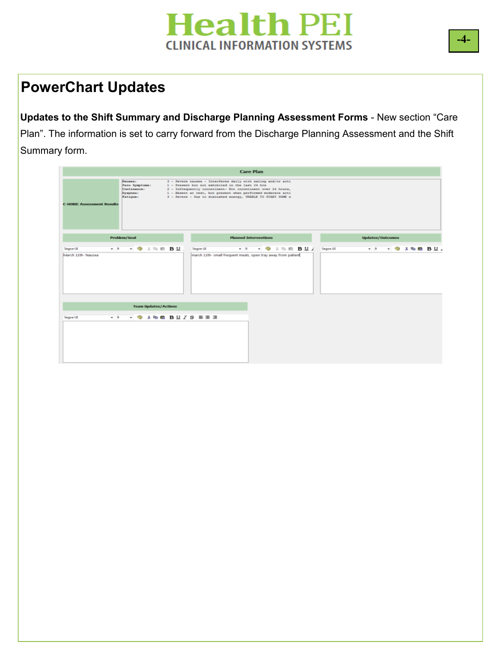#### **PowerChart Updates**

**Updates to the Shift Summary and Discharge Planning Assessment Forms** - New section "Care Plan". The information is set to carry forward from the Discharge Planning Assessment and the Shift Summary form.